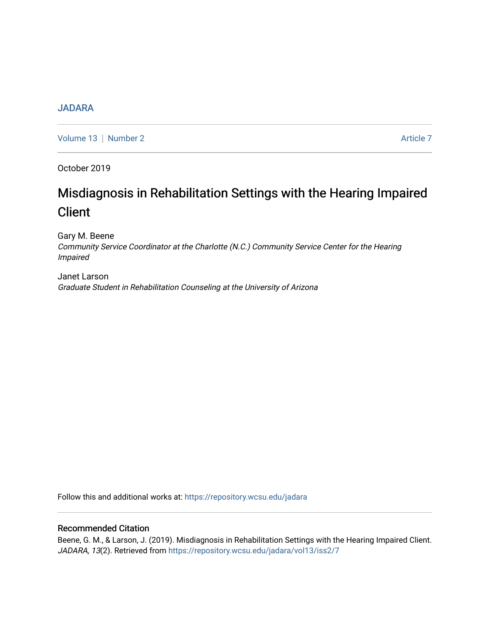# [JADARA](https://repository.wcsu.edu/jadara)

[Volume 13](https://repository.wcsu.edu/jadara/vol13) | [Number 2](https://repository.wcsu.edu/jadara/vol13/iss2) Article 7

October 2019

# Misdiagnosis in Rehabilitation Settings with the Hearing Impaired **Client**

Gary M. Beene Community Service Coordinator at the Charlotte (N.C.) Community Service Center for the Hearing Impaired

Janet Larson Graduate Student in Rehabilitation Counseling at the University of Arizona

Follow this and additional works at: [https://repository.wcsu.edu/jadara](https://repository.wcsu.edu/jadara?utm_source=repository.wcsu.edu%2Fjadara%2Fvol13%2Fiss2%2F7&utm_medium=PDF&utm_campaign=PDFCoverPages)

# Recommended Citation

Beene, G. M., & Larson, J. (2019). Misdiagnosis in Rehabilitation Settings with the Hearing Impaired Client. JADARA, 13(2). Retrieved from [https://repository.wcsu.edu/jadara/vol13/iss2/7](https://repository.wcsu.edu/jadara/vol13/iss2/7?utm_source=repository.wcsu.edu%2Fjadara%2Fvol13%2Fiss2%2F7&utm_medium=PDF&utm_campaign=PDFCoverPages)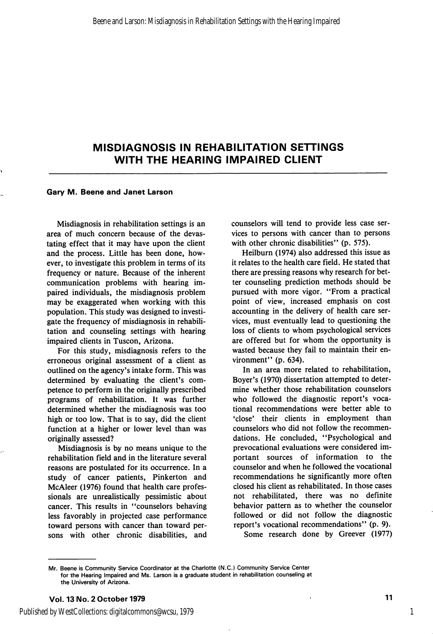#### Gary M. Beene and Janet Larson

Misdiagnosis in rehabilitation settings is an area of much concern because of the devas tating effect that it may have upon the client and the process. Little has been done, how ever, to investigate this problem in terms of its frequency or nature. Because of the inherent communication problems with hearing im paired individuals, the misdiagnosis problem may be exaggerated when working with this population. This study was designed to investi gate the frequency of misdiagnosis in rehabili tation and counseling settings with hearing impaired clients in Tuscon, Arizona.

For this study, misdiagnosis refers to the erroneous original assessment of a client as outlined on the agency's intake form. This was determined by evaluating the client's com petence to perform in the originally prescribed programs of rehabilitation. It was further determined whether the misdiagnosis was too high or too low. That is to say, did the client function at a higher or lower level than was originally assessed?

Misdiagnosis is by no means unique to the rehabilitation field and in the literature several reasons are postulated for its occurrence. In a study of cancer patients, Pinkerton and McAleer (1976) found that health care profes sionals are unrealistically pessimistic about cancer. This results in "counselors behaving less favorably in projected case performance toward persons with cancer than toward per sons with other chronic disabilities, and

counselors will tend to provide less case ser vices to persons with cancer than to persons with other chronic disabilities" (p. 575).

Heilburn (1974) also addressed this issue as it relates to the health care field. He stated that there are pressing reasons why research for bet ter counseling prediction methods should be pursued with more vigor. "From a practical point of view, increased emphasis on cost accounting in the delivery of health care ser vices, must eventually lead to questioning the loss of clients to whom psychological services are offered but for whom the opportunity is wasted because they fail to maintain their en vironment" (p. 634).

In an area more related to rehabilitation, Boyer's (1970) dissertation attempted to deter mine whether those rehabilitation counselors who followed the diagnostic report's voca tional recommendations were better able to 'close' their clients in employment than counselors who did not follow the recommen dations. He concluded, "Psychological and prevocational evaluations were considered im portant sources of information to the counselor and when he followed the vocational recommendations he significantly more often closed his client as rehabilitated. In those cases not rehabilitated, there was no definite behavior pattern as to whether the counselor followed or did not follow the diagnostic report's vocational recommendations" (p. 9). Some research done by Greever (1977)

Mr. Beene is Community Service Coordinator at the Charlotte (N.C.) Community Service Center for the Hearing Impaired and Ms. Larson is a graduate student in rehabilitation counseling at the University of Arizona.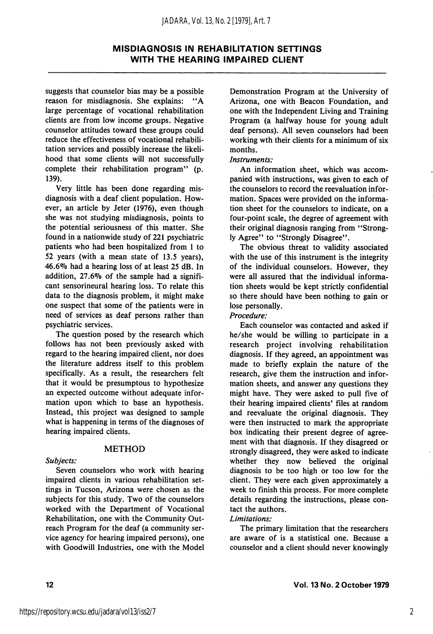#### *JADARA, Vol. 13, No. 2 [1979], Art. 7*

## MISDIAGNOSIS IN REHABILITATION SETTINGS WITH THE HEARING IMPAIRED CLIENT

suggests that counselor bias may be a possible reason for misdiagnosis. She explains: "A large percentage of vocational rehabilitation clients are from low income groups. Negative counselor attitudes toward these groups could reduce the effectiveness of vocational rehabili tation services and possibly increase the likeli hood that some clients will not successfully complete their rehabilitation program" (p. 139).

Very little has been done regarding misdiagnosis with a deaf client population. How ever, an article by Jeter (1976), even though she was not studying misdiagnosis, points to the potential seriousness of this matter. She found in a nationwide study of 221 psychiatric patients who had been hospitalized from 1 to 52 years (with a mean state of 13.5 years), 46.6% had a hearing loss of at least 25 dB. In addition, 27.6% of the sample had a signifi cant sensorineural hearing loss. To relate this data to the diagnosis problem, it might make one suspect that some of the patients were in need of services as deaf persons rather than psychiatric services.

The question posed by the research which follows has not been previously asked with regard to the hearing impaired client, nor does the literature address itself to this problem specifically. As a result, the researchers felt that it would be presumptous to hypothesize an expected outcome without adequate infor mation upon which to base an hypothesis. Instead, this project was designed to sample what is happening in terms of the diagnoses of hearing impaired clients.

#### METHOD

Subjects:

Seven counselors who work with hearing impaired clients in various rehabilitation set tings in Tucson, Arizona were chosen as the subjects for this study. Two of the counselors worked with the Department of Vocational Rehabilitation, one with the Community Out reach Program for the deaf (a community ser vice agency for hearing impaired persons), one with Goodwill Industries, one with the Model

Demonstration Program at the University of Arizona, one with Beacon Foundation, and one with the Independent Living and Training Program (a halfway house for young adult deaf persons). All seven counselors had been working wth their clients for a minimum of six months.

#### Instruments:

An information sheet, which was accom panied with instructions, was given to each of the counselors to record the reevaluation infor mation. Spaces were provided on the informa tion sheet for the counselors to indicate, on a four-point scale, the degree of agreement with their original diagnosis ranging from \*'Strong ly Agree" to "Strongly Disagree".

The obvious threat to validity associated with the use of this instrument is the integrity of the individual counselors. However, they were all assured that the individual informa tion sheets would be kept strictly confidential so there should have been nothing to gain or lose personally.

Procedure:

Each counselor was contacted and asked if he/she would be willing to participate in a research project involving rehabilitation diagnosis. If they agreed, an appointment was made to briefly explain the nature of the research, give them the instruction and infor mation sheets, and answer any questions they might have. They were asked to pull five of their hearing impaired clients' files at random and reevaluate the original diagnosis. They were then instructed to mark the appropriate box indicating their present degree of agree ment with that diagnosis. If they disagreed or strongly disagreed, they were asked to indicate whether they now believed the original diagnosis to be too high or too low for the client. They were each given approximately a week to finish this process. For more complete details regarding the instructions, please con tact the authors.

#### Limitations:

The primary limitation that the researchers are aware of is a statistical one. Because a counselor and a client should never knowingly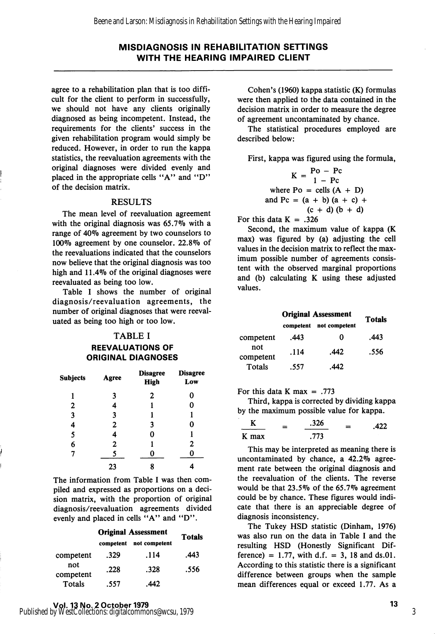agree to a rehabilitation plan that is too diffi cult for the client to perform in successfully, we should not have any clients originally diagnosed as being incompetent. Instead, the requirements for the clients' success in the given rehabilitation program would simply be reduced. However, in order to run the kappa statistics, the reevaluation agreements with the original diagnoses were divided evenly and placed in the appropriate cells "A" and "D" of the decision matrix.

#### RESULTS

The mean level of reevaluation agreement with the original diagnosis was  $65.7\%$  with a range of 40% agreement by two counselors to 100% agreement by one counselor. 22.8% of the reevaluations indicated that the counselors now believe that the original diagnosis was too high and 11.4% of the original diagnoses were reevaluated as being too low.

Table I shows the number of original diagnosis/reevaluation agreements, the number of original diagnoses that were reeval uated as being too high or too low.

#### TABLE I

REEVALUATIONS OF ORIGINAL DIAGNOSES

| <b>Subjects</b> | Agree | <b>Disagree</b><br><b>High</b> | <b>Disagree</b><br>Low |
|-----------------|-------|--------------------------------|------------------------|
| 1               | 3     | 2                              | 0                      |
| 2               |       |                                | 0                      |
| 3               | 3     | 1                              |                        |
| 4               | 2     | 3                              | 0                      |
| 5               | 4     | 0                              | ı                      |
| 6               | 2     |                                | $\mathbf{2}$           |
| 7               | 5     |                                |                        |
|                 | 23    | 8                              |                        |

The information from Table I was then com piled and expressed as proportions on a deci sion matrix, with the proportion of original diagnosis/reevaluation agreements divided evenly and placed in cells "A" and "D".

|                  | <b>Original Assessment</b> |      | <b>Totals</b> |  |
|------------------|----------------------------|------|---------------|--|
|                  | not competent<br>competent |      |               |  |
| competent        | .329                       | .114 | .443          |  |
| not<br>competent | .228                       | .328 | .556          |  |
| Totals           | .557                       | 442  |               |  |

Cohen's (1960) kappa statistic (K) formulas were then applied to the data contained in the decision matrix in order to measure the degree of agreement uncontaminated by chance.

The statistical procedures employed are described below:

First, kappa was figured using the formula,

 $K = \frac{P_0 - P_c}{1 - P_c}$  $1 - \text{Pc}$ where  $Po = cells (A + D)$ and Pc =  $(a + b) (a + c) +$  $(c + d) (b + d)$ 

For this data  $K = .326$ 

Second, the maximum value of kappa (K max) was figured by (a) adjusting the cell values in the decision matrix to reflect the max imum possible number of agreements consis tent with the observed marginal proportions and (b) calculating K using these adjusted values.

|                  | <b>Original Assessment</b> | <b>Totals</b> |      |  |
|------------------|----------------------------|---------------|------|--|
|                  | competent                  | not competent |      |  |
| competent        | .443                       | 0             | .443 |  |
| not<br>competent | .114                       | .442          | .556 |  |
| Totals           | .557                       | .442          |      |  |

For this data K max  $= .773$ 

Third, kappa is corrected by dividing kappa by the maximum possible value for kappa.

|       | = | .326 | $=$ | .422 |
|-------|---|------|-----|------|
| K max |   | .773 |     |      |

This may be interpreted as meaning there is uncontaminated by chance, a 42.2% agree ment rate between the original diagnosis and the reevaluation of the clients. The reverse would be that 23.5% of the 65.7% agreement could be by chance. These figures would indi cate that there is an appreciable degree of diagnosis inconsistency.

The Tukey HSD statistic (Dinham, 1976) was also run on the data in Table I and the resulting HSD (Honestly Significant Dif ference) = 1.77, with d.f. = 3, 18 and ds.01. According to this statistic there is a significant difference between groups when the sample mean differences equal or exceed 1.77. As a

3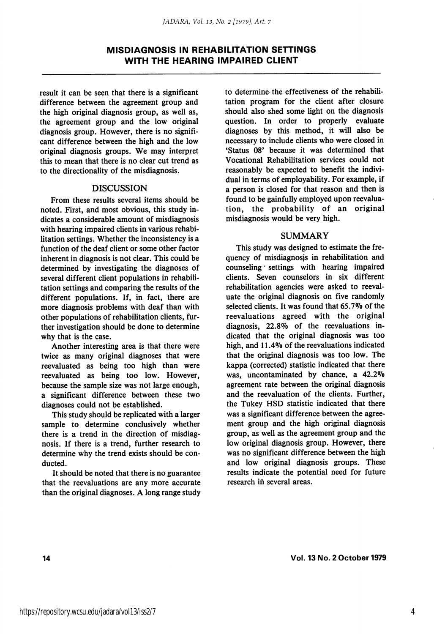result it can be seen that there is a significant difference between the agreement group and the high original diagnosis group, as well as, the agreement group and the low original diagnosis group. However, there is no signifi cant difference between the high and the low original diagnosis groups. We may interpret this to mean that there is no clear cut trend as to the directionality of the misdiagnosis.

#### DISCUSSION

From these results several items should be noted. First, and most obvious, this study in dicates a considerable amount of misdiagnosis with hearing impaired clients in various rehabi litation settings. Whether the inconsistency is a function of the deaf client or some other factor inherent in diagnosis is not clear. This could be determined by investigating the diagnoses of several different client populations in rehabili tation settings and comparing the results of the different populations. If, in fact, there are more diagnosis problems with deaf than with other populations of rehabilitation clients, fur ther investigation should be done to determine why that is the case.

Another interesting area is that there were twice as many original diagnoses that were reevaluated as being too high than were reevaluated as being too low. However, because the sample size was not large enough, a significant difference between these two diagnoses could not be established.

This study should be replicated with a larger sample to determine conclusively whether there is a trend in the direction of misdiag nosis. If there is a trend, further research to determine why the trend exists should be con ducted.

It should be noted that there is no guarantee that the reevaluations are any more accurate than the original diagnoses. A long range study to determine the effectiveness of the rehabili tation program for the client after closure should also shed some light on the diagnosis question. In order to properly evaluate diagnoses by this method, it will also be necessary to include clients who were closed in 'Status 08' because it was determined that Vocational Rehabilitation services could not reasonably be expected to benefit the indivi dual in terms of employability. For example, if a person is closed for that reason and then is found to be gainfully employed upon reevaluation, the probability of an original misdiagnosis would be very high.

#### SUMMARY

This study was designed to estimate the fre quency of misdiagnosjs in rehabilitation and counseling settings with hearing impaired clients. Seven counselors in six different rehabilitation agencies were asked to reevaluate the original diagnosis on five randomly selected clients. It was found that 65.7% of the reevaluations agreed with the original diagnosis, 22.8% of the reevaluations in dicated that the original diagnosis was too high, and 11.4% of the reevaluations indicated that the original diagnosis was too low. The kappa (corrected) statistic indicated that there was, uncontaminated by chance, a 42.2% agreement rate between the original diagnosis and the reevaluation of the clients. Further, the Tukey HSD statistic indicated that there was a significant difference between the agree ment group and the high original diagnosis group, as well as the agreement group and the low original diagnosis group. However, there was no significant difference between the high and low original diagnosis groups. These results indicate the potential need for future research in several areas.